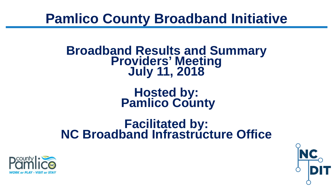# **Broadband Results and Summary Providers' Meeting July 11, 2018**

**Hosted by: Pamlico County**

## **Facilitated by: NC Broadband Infrastructure Office**



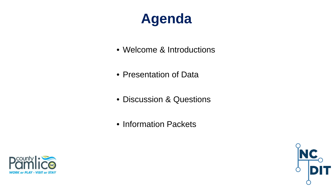#### **Agenda**

- Welcome & Introductions
- Presentation of Data
- Discussion & Questions
- Information Packets



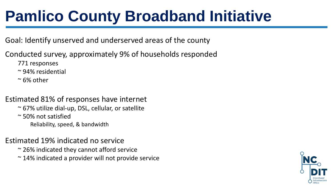Goal: Identify unserved and underserved areas of the county

Conducted survey, approximately 9% of households responded

771 responses

~ 94% residential

 $\approx$  6% other

#### Estimated 81% of responses have internet

~ 67% utilize dial-up, DSL, cellular, or satellite ~ 50% not satisfied Reliability, speed, & bandwidth

#### Estimated 19% indicated no service

- ~ 26% indicated they cannot afford service
- ~ 14% indicated a provider will not provide service

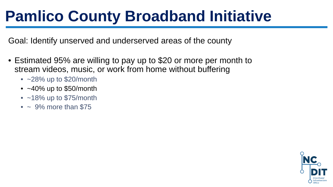Goal: Identify unserved and underserved areas of the county

- Estimated 95% are willing to pay up to \$20 or more per month to stream videos, music, or work from home without buffering
	- $~28\%$  up to \$20/month
	- $\cdot$  ~40% up to \$50/month
	- $\cdot$  ~18% up to \$75/month
	- $\bullet$  ~ 9% more than \$75

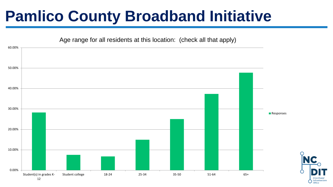

Infrastructure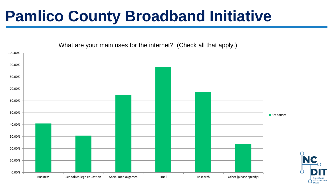What are your main uses for the internet? (Check all that apply.)



Infrastructure Office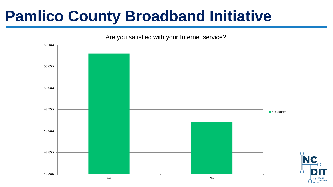

Infrastructure